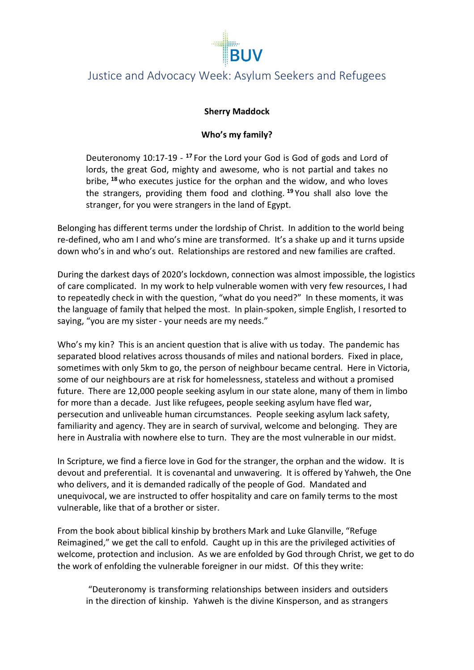

## Justice and Advocacy Week: Asylum Seekers and Refugees

### **Sherry Maddock**

## **Who's my family?**

Deuteronomy 10:17-19 - **<sup>17</sup>** For the Lord your God is God of gods and Lord of lords, the great God, mighty and awesome, who is not partial and takes no bribe, **<sup>18</sup>**who executes justice for the orphan and the widow, and who loves the strangers, providing them food and clothing. **<sup>19</sup>** You shall also love the stranger, for you were strangers in the land of Egypt.

Belonging has different terms under the lordship of Christ. In addition to the world being re-defined, who am I and who's mine are transformed. It's a shake up and it turns upside down who's in and who's out. Relationships are restored and new families are crafted.

During the darkest days of 2020's lockdown, connection was almost impossible, the logistics of care complicated. In my work to help vulnerable women with very few resources, I had to repeatedly check in with the question, "what do you need?" In these moments, it was the language of family that helped the most. In plain-spoken, simple English, I resorted to saying, "you are my sister - your needs are my needs."

Who's my kin? This is an ancient question that is alive with us today. The pandemic has separated blood relatives across thousands of miles and national borders. Fixed in place, sometimes with only 5km to go, the person of neighbour became central. Here in Victoria, some of our neighbours are at risk for homelessness, stateless and without a promised future. There are 12,000 people seeking asylum in our state alone, many of them in limbo for more than a decade. Just like refugees, people seeking asylum have fled war, persecution and unliveable human circumstances. People seeking asylum lack safety, familiarity and agency. They are in search of survival, welcome and belonging. They are here in Australia with nowhere else to turn. They are the most vulnerable in our midst.

In Scripture, we find a fierce love in God for the stranger, the orphan and the widow. It is devout and preferential. It is covenantal and unwavering. It is offered by Yahweh, the One who delivers, and it is demanded radically of the people of God. Mandated and unequivocal, we are instructed to offer hospitality and care on family terms to the most vulnerable, like that of a brother or sister.

From the book about biblical kinship by brothers Mark and Luke Glanville, "Refuge Reimagined," we get the call to enfold. Caught up in this are the privileged activities of welcome, protection and inclusion. As we are enfolded by God through Christ, we get to do the work of enfolding the vulnerable foreigner in our midst. Of this they write:

"Deuteronomy is transforming relationships between insiders and outsiders in the direction of kinship. Yahweh is the divine Kinsperson, and as strangers